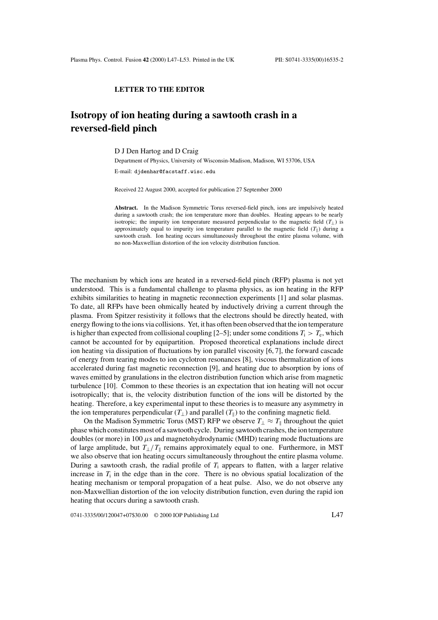## **LETTER TO THE EDITOR**

## **Isotropy of ion heating during a sawtooth crash in a reversed-field pinch**

D J Den Hartog and D Craig

Department of Physics, University of Wisconsin-Madison, Madison, WI 53706, USA

E-mail: djdenhar@facstaff.wisc.edu

Received 22 August 2000, accepted for publication 27 September 2000

**Abstract.** In the Madison Symmetric Torus reversed-field pinch, ions are impulsively heated during a sawtooth crash; the ion temperature more than doubles. Heating appears to be nearly isotropic; the impurity ion temperature measured perpendicular to the magnetic field  $(T_{\perp})$  is approximately equal to impurity ion temperature parallel to the magnetic field  $(T_{\parallel})$  during a sawtooth crash. Ion heating occurs simultaneously throughout the entire plasma volume, with no non-Maxwellian distortion of the ion velocity distribution function.

The mechanism by which ions are heated in a reversed-field pinch (RFP) plasma is not yet understood. This is a fundamental challenge to plasma physics, as ion heating in the RFP exhibits similarities to heating in magnetic reconnection experiments [1] and solar plasmas. To date, all RFPs have been ohmically heated by inductively driving a current through the plasma. From Spitzer resistivity it follows that the electrons should be directly heated, with energy flowing to the ions via collisions. Yet, it has often been observed that the ion temperature is higher than expected from collisional coupling  $[2-5]$ ; under some conditions  $T_i > T_e$ , which cannot be accounted for by equipartition. Proposed theoretical explanations include direct ion heating via dissipation of fluctuations by ion parallel viscosity [6, 7], the forward cascade of energy from tearing modes to ion cyclotron resonances [8], viscous thermalization of ions accelerated during fast magnetic reconnection [9], and heating due to absorption by ions of waves emitted by granulations in the electron distribution function which arise from magnetic turbulence [10]. Common to these theories is an expectation that ion heating will not occur isotropically; that is, the velocity distribution function of the ions will be distorted by the heating. Therefore, a key experimental input to these theories is to measure any asymmetry in the ion temperatures perpendicular  $(T_{\perp})$  and parallel  $(T_{\parallel})$  to the confining magnetic field.

On the Madison Symmetric Torus (MST) RFP we observe  $T_{\perp} \approx T_{\parallel}$  throughout the quiet phase which constitutes most of a sawtooth cycle. During sawtooth crashes, the ion temperature doubles (or more) in 100  $\mu$ s and magnetohydrodynamic (MHD) tearing mode fluctuations are of large amplitude, but  $T_{\perp}/T_{\parallel}$  remains approximately equal to one. Furthermore, in MST we also observe that ion heating occurs simultaneously throughout the entire plasma volume. During a sawtooth crash, the radial profile of  $T_i$  appears to flatten, with a larger relative increase in  $T_i$  in the edge than in the core. There is no obvious spatial localization of the heating mechanism or temporal propagation of a heat pulse. Also, we do not observe any non-Maxwellian distortion of the ion velocity distribution function, even during the rapid ion heating that occurs during a sawtooth crash.

0741-3335/00/120047+07\$30.00 © 2000 IOP Publishing Ltd L47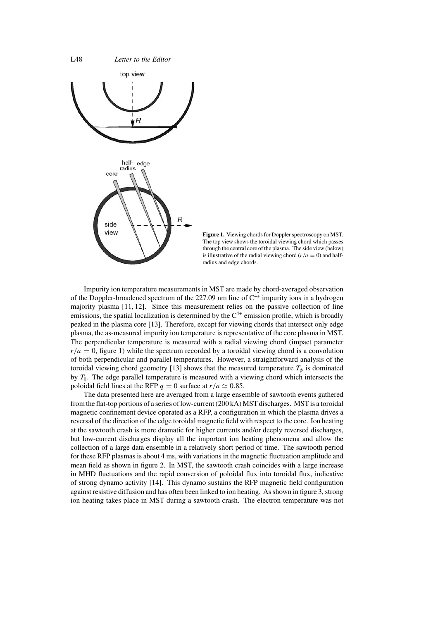

**Figure 1.** Viewing chords for Doppler spectroscopy on MST. The top view shows the toroidal viewing chord which passes through the central core of the plasma. The side view (below) is illustrative of the radial viewing chord ( $r/a = 0$ ) and halfradius and edge chords.

Impurity ion temperature measurements in MST are made by chord-averaged observation of the Doppler-broadened spectrum of the 227.09 nm line of  $C^{4+}$  impurity ions in a hydrogen majority plasma [11, 12]. Since this measurement relies on the passive collection of line emissions, the spatial localization is determined by the  $C<sup>4+</sup>$  emission profile, which is broadly peaked in the plasma core [13]. Therefore, except for viewing chords that intersect only edge plasma, the as-measured impurity ion temperature is representative of the core plasma in MST. The perpendicular temperature is measured with a radial viewing chord (impact parameter  $r/a = 0$ , figure 1) while the spectrum recorded by a toroidal viewing chord is a convolution of both perpendicular and parallel temperatures. However, a straightforward analysis of the toroidal viewing chord geometry [13] shows that the measured temperature  $T_{\phi}$  is dominated by  $T_{\parallel}$ . The edge parallel temperature is measured with a viewing chord which intersects the poloidal field lines at the RFP  $q = 0$  surface at  $r/a \approx 0.85$ .

The data presented here are averaged from a large ensemble of sawtooth events gathered from the flat-top portions of a series of low-current (200 kA) MST discharges. MST is a toroidal magnetic confinement device operated as a RFP, a configuration in which the plasma drives a reversal of the direction of the edge toroidal magnetic field with respect to the core. Ion heating at the sawtooth crash is more dramatic for higher currents and/or deeply reversed discharges, but low-current discharges display all the important ion heating phenomena and allow the collection of a large data ensemble in a relatively short period of time. The sawtooth period for these RFP plasmas is about 4 ms, with variations in the magnetic fluctuation amplitude and mean field as shown in figure 2. In MST, the sawtooth crash coincides with a large increase in MHD fluctuations and the rapid conversion of poloidal flux into toroidal flux, indicative of strong dynamo activity [14]. This dynamo sustains the RFP magnetic field configuration against resistive diffusion and has often been linked to ion heating. As shown in figure 3, strong ion heating takes place in MST during a sawtooth crash. The electron temperature was not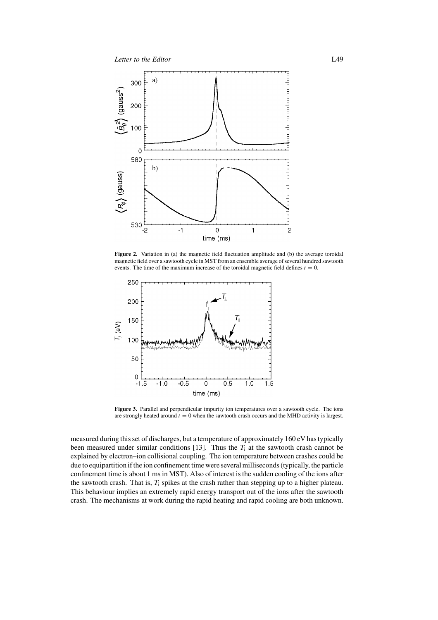

Figure 2. Variation in (a) the magnetic field fluctuation amplitude and (b) the average toroidal magnetic field over a sawtooth cycle in MST from an ensemble average of several hundred sawtooth events. The time of the maximum increase of the toroidal magnetic field defines  $t = 0$ .



**Figure 3.** Parallel and perpendicular impurity ion temperatures over a sawtooth cycle. The ions are strongly heated around  $t = 0$  when the sawtooth crash occurs and the MHD activity is largest.

measured during this set of discharges, but a temperature of approximately 160 eV has typically been measured under similar conditions [13]. Thus the  $T_i$  at the sawtooth crash cannot be explained by electron–ion collisional coupling. The ion temperature between crashes could be due to equipartition if the ion confinement time were several milliseconds (typically, the particle confinement time is about 1 ms in MST). Also of interest is the sudden cooling of the ions after the sawtooth crash. That is,  $T_i$  spikes at the crash rather than stepping up to a higher plateau. This behaviour implies an extremely rapid energy transport out of the ions after the sawtooth crash. The mechanisms at work during the rapid heating and rapid cooling are both unknown.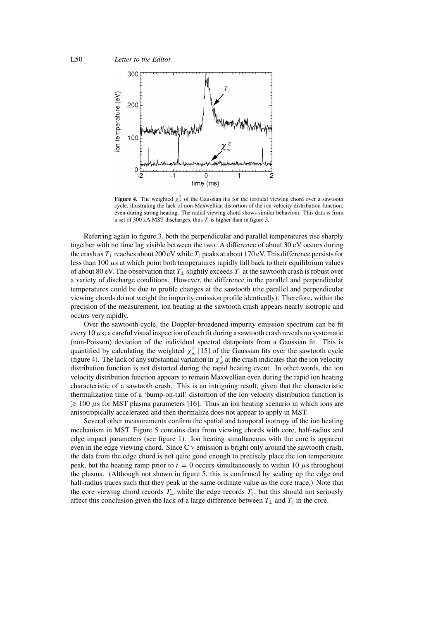

**Figure 4.** The weighted  $\chi^2_w$  of the Gaussian fits for the toroidal viewing chord over a sawtooth cycle, illustrating the lack of non-Maxwellian distortion of the ion velocity distribution function, even during strong heating. The radial viewing chord shows similar behaviour. This data is from a set of 300 kA MST discharges, thus  $T_i$  is higher than in figure 3.

Referring again to figure 3, both the perpendicular and parallel temperatures rise sharply together with no time lag visible between the two. A difference of about 30 eV occurs during the crash as  $T_{\perp}$  reaches about 200 eV while  $T_{\parallel}$  peaks at about 170 eV. This difference persists for less than 100  $\mu$ s at which point both temperatures rapidly fall back to their equilibrium values of about 80 eV. The observation that  $T_{\perp}$  slightly exceeds  $T_{\parallel}$  at the sawtooth crash is robust over a variety of discharge conditions. However, the difference in the parallel and perpendicular temperatures could be due to profile changes at the sawtooth (the parallel and perpendicular viewing chords do not weight the impurity emission profile identically). Therefore, within the precision of the measurement, ion heating at the sawtooth crash appears nearly isotropic and occurs very rapidly.

Over the sawtooth cycle, the Doppler-broadened impurity emission spectrum can be fit every 10  $\mu$ s; a careful visual inspection of each fit during a sawtooth crash reveals no systematic (non-Poisson) deviation of the individual spectral datapoints from a Gaussian fit. This is quantified by calculating the weighted  $\chi^2_w$  [15] of the Gaussian fits over the sawtooth cycle (figure 4). The lack of any substantial variation in  $\chi^2_w$  at the crash indicates that the ion velocity distribution function is not distorted during the rapid heating event. In other words, the ion velocity distribution function appears to remain Maxwellian even during the rapid ion heating characteristic of a sawtooth crash. This is an intriguing result, given that the characteristic thermalization time of a 'bump-on-tail' distortion of the ion velocity distribution function is  $\geqslant 100 \,\mu s$  for MST plasma parameters [16]. Thus an ion heating scenario in which ions are anisotropically accelerated and then thermalize does not appear to apply in MST.

Several other measurements confirm the spatial and temporal isotropy of the ion heating mechanism in MST. Figure 5 contains data from viewing chords with core, half-radius and edge impact parameters (see figure 1). Ion heating simultaneous with the core is apparent even in the edge viewing chord. Since C <sup>V</sup> emission is bright only around the sawtooth crash, the data from the edge chord is not quite good enough to precisely place the ion temperature peak, but the heating ramp prior to  $t = 0$  occurs simultaneously to within 10  $\mu$ s throughout the plasma. (Although not shown in figure 5, this is confirmed by scaling up the edge and half-radius traces such that they peak at the same ordinate value as the core trace.) Note that the core viewing chord records  $T_{\perp}$  while the edge records  $T_{\parallel}$ , but this should not seriously affect this conclusion given the lack of a large difference between  $T_{\perp}$  and  $T_{\parallel}$  in the core.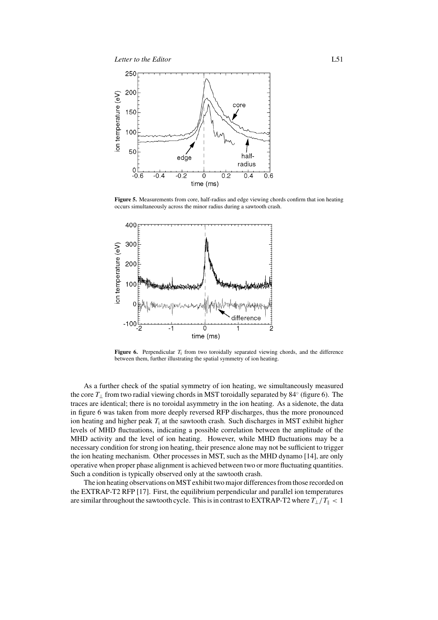

**Figure 5.** Measurements from core, half-radius and edge viewing chords confirm that ion heating occurs simultaneously across the minor radius during a sawtooth crash.



**Figure 6.** Perpendicular  $T_i$  from two toroidally separated viewing chords, and the difference between them, further illustrating the spatial symmetry of ion heating.

As a further check of the spatial symmetry of ion heating, we simultaneously measured the core  $T_{\perp}$  from two radial viewing chords in MST toroidally separated by 84 $\degree$  (figure 6). The traces are identical; there is no toroidal asymmetry in the ion heating. As a sidenote, the data in figure 6 was taken from more deeply reversed RFP discharges, thus the more pronounced ion heating and higher peak  $T_i$  at the sawtooth crash. Such discharges in MST exhibit higher levels of MHD fluctuations, indicating a possible correlation between the amplitude of the MHD activity and the level of ion heating. However, while MHD fluctuations may be a necessary condition for strong ion heating, their presence alone may not be sufficient to trigger the ion heating mechanism. Other processes in MST, such as the MHD dynamo [14], are only operative when proper phase alignment is achieved between two or more fluctuating quantities. Such a condition is typically observed only at the sawtooth crash.

The ion heating observations on MST exhibit two major differences from those recorded on the EXTRAP-T2 RFP [17]. First, the equilibrium perpendicular and parallel ion temperatures are similar throughout the sawtooth cycle. This is in contrast to EXTRAP-T2 where  $T_{\perp}/T_{\parallel}$  < 1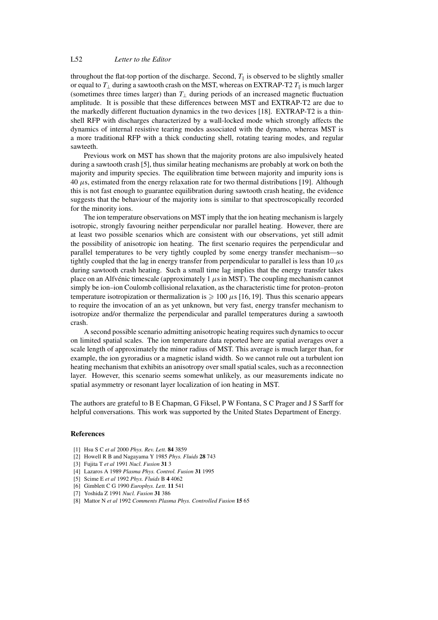## L52 *Letter to the Editor*

throughout the flat-top portion of the discharge. Second,  $T_{\parallel}$  is observed to be slightly smaller or equal to  $T_{\perp}$  during a sawtooth crash on the MST, whereas on EXTRAP-T2  $T_{\parallel}$  is much larger (sometimes three times larger) than  $T_{\perp}$  during periods of an increased magnetic fluctuation amplitude. It is possible that these differences between MST and EXTRAP-T2 are due to the markedly different fluctuation dynamics in the two devices [18]. EXTRAP-T2 is a thinshell RFP with discharges characterized by a wall-locked mode which strongly affects the dynamics of internal resistive tearing modes associated with the dynamo, whereas MST is a more traditional RFP with a thick conducting shell, rotating tearing modes, and regular sawteeth.

Previous work on MST has shown that the majority protons are also impulsively heated during a sawtooth crash [5], thus similar heating mechanisms are probably at work on both the majority and impurity species. The equilibration time between majority and impurity ions is  $40 \mu s$ , estimated from the energy relaxation rate for two thermal distributions [19]. Although this is not fast enough to guarantee equilibration during sawtooth crash heating, the evidence suggests that the behaviour of the majority ions is similar to that spectroscopically recorded for the minority ions.

The ion temperature observations on MST imply that the ion heating mechanism is largely isotropic, strongly favouring neither perpendicular nor parallel heating. However, there are at least two possible scenarios which are consistent with our observations, yet still admit the possibility of anisotropic ion heating. The first scenario requires the perpendicular and parallel temperatures to be very tightly coupled by some energy transfer mechanism—so tightly coupled that the lag in energy transfer from perpendicular to parallel is less than 10  $\mu$ s during sawtooth crash heating. Such a small time lag implies that the energy transfer takes place on an Alfvénic timescale (approximately  $1 \mu s$  in MST). The coupling mechanism cannot simply be ion–ion Coulomb collisional relaxation, as the characteristic time for proton–proton temperature isotropization or thermalization is  $\geq 100 \mu s$  [16, 19]. Thus this scenario appears to require the invocation of an as yet unknown, but very fast, energy transfer mechanism to isotropize and/or thermalize the perpendicular and parallel temperatures during a sawtooth crash.

A second possible scenario admitting anisotropic heating requires such dynamics to occur on limited spatial scales. The ion temperature data reported here are spatial averages over a scale length of approximately the minor radius of MST. This average is much larger than, for example, the ion gyroradius or a magnetic island width. So we cannot rule out a turbulent ion heating mechanism that exhibits an anisotropy over small spatial scales, such as a reconnection layer. However, this scenario seems somewhat unlikely, as our measurements indicate no spatial asymmetry or resonant layer localization of ion heating in MST.

The authors are grateful to B E Chapman, G Fiksel, P W Fontana, S C Prager and J S Sarff for helpful conversations. This work was supported by the United States Department of Energy.

## **References**

- [1] Hsu S C *et al* 2000 *Phys. Rev. Lett.* **84** 3859
- [2] Howell R B and Nagayama Y 1985 *Phys. Fluids* **28** 743
- [3] Fujita T *et al* 1991 *Nucl. Fusion* **31** 3
- [4] Lazaros A 1989 *Plasma Phys. Control. Fusion* **31** 1995
- [5] Scime E *et al* 1992 *Phys. Fluids* B **4** 4062
- [6] Gimblett C G 1990 *Europhys. Lett.* **11** 541
- [7] Yoshida Z 1991 *Nucl. Fusion* **31** 386
- [8] Mattor N *et al* 1992 *Comments Plasma Phys. Controlled Fusion* **15** 65